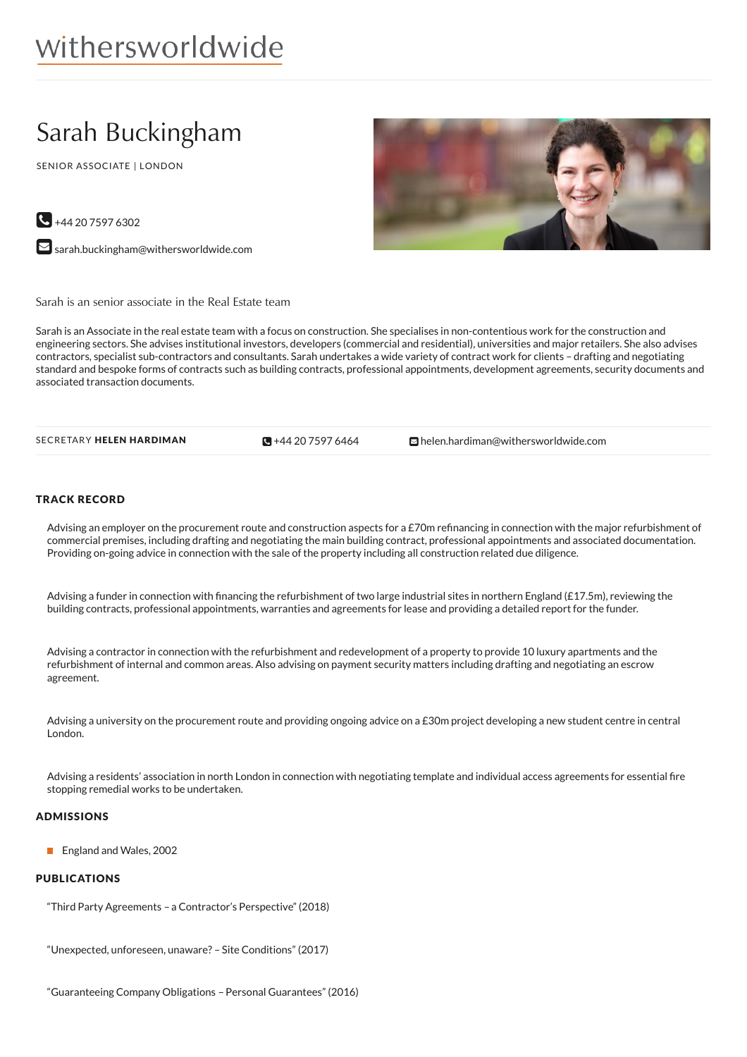# Sarah Buckingham

SENIOR ASSOCIATE | LONDON



 $\bigodot$  +44 20 7597 6302

 $\blacktriangleright$  [sarah.buckingham@withersworldwide.com](mailto:sarah.buckingham@withersworldwide.com?subject=Website Enquiry - Profile Page)

Sarah is an senior associate in the Real Estate team

Sarah is an Associate in the real estate team with a focus on construction. She specialises in non-contentious work for the construction and engineering sectors. She advises institutional investors, developers (commercial and residential), universities and major retailers. She also advises contractors, specialist sub-contractors and consultants. Sarah undertakes a wide variety of contract work for clients – drafting and negotiating standard and bespoke forms of contracts such as building contracts, professional appointments, development agreements, security documents and associated transaction documents.

 $\blacksquare$  +44 20 7597 6464

SECRETARY **HELEN HARDIMAN Relative CH** +44 20 [7597](tel:+44 20 7597 6464) 6464 **[helen.hardiman@withersworldwide.com](mailto:helen.hardiman@withersworldwide.com)** 

## TRACK RECORD

Advising an employer on the procurement route and construction aspects for a £70m refinancing in connection with the major refurbishment of commercial premises, including drafting and negotiating the main building contract, professional appointments and associated documentation. Providing on-going advice in connection with the sale of the property including all construction related due diligence.

Advising a funder in connection with 6nancing the refurbishment of two large industrial sites in northern England (£17.5m), reviewing the building contracts, professional appointments, warranties and agreements for lease and providing a detailed report for the funder.

Advising a contractor in connection with the refurbishment and redevelopment of a property to provide 10 luxury apartments and the refurbishment of internal and common areas. Also advising on payment security matters including drafting and negotiating an escrow agreement.

Advising a university on the procurement route and providing ongoing advice on a £30m project developing a new student centre in central London.

Advising a residents' association in north London in connection with negotiating template and individual access agreements for essential fire stopping remedial works to be undertaken.

#### ADMISSIONS

**England and Wales, 2002** 

## PUBLICATIONS

"Third Party Agreements – a Contractor's Perspective" (2018)

"Unexpected, unforeseen, unaware? – Site Conditions" (2017)